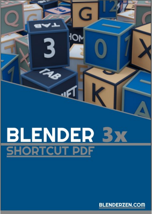# **BLENDER 3x**<br>SHORTCUT PDF

G

 $\bullet$ 

3

**BLENDERZEN.COM**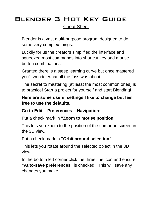# Blender 3 Hot Key Guide

Cheat Sheet

Blender is a vast multi-purpose program designed to do some very complex things.

Luckily for us the creators simplified the interface and squeezed most commands into shortcut key and mouse button combinations.

Granted there is a steep learning curve but once mastered you'll wonder what all the fuss was about.

The secret to mastering (at least the most common ones) is to practice! Start a project for yourself and start Blending!

#### **Here are some useful settings I like to change but feel free to use the defaults.**

#### **Go to Edit – Preferences – Navigation:**

Put a check mark in **"Zoom to mouse position"**

This lets you zoom to the position of the cursor on screen in the 3D view.

Put a check mark in **"Orbit around selection"**

This lets you rotate around the selected object in the 3D view

In the bottom left corner click the three line icon and ensure **"Auto-save preferences"** is checked. This will save any changes you make.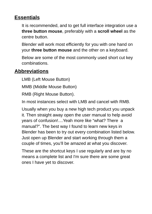## **Essentials**

It is recommended, and to get full interface integration use a **three button mouse**, preferably with a **scroll wheel** as the centre button.

Blender will work most efficiently for you with one hand on your **three button mouse** and the other on a keyboard.

Below are some of the most commonly used short cut key combinations.

## **Abbreviations**

LMB (Left Mouse Button)

MMB (Middle Mouse Button)

RMB (Right Mouse Button).

In most instances select with LMB and cancel with RMB.

Usually when you buy a new high tech product you unpack it. Then straight away open the user manual to help avoid years of confusion!....Yeah more like "what? There a manual?". The best way I found to learn new keys in Blender has been to try out every combination listed below. Just open up Blender and start working through them a couple of times, you'll be amazed at what you discover.

These are the shortcut keys I use regularly and are by no means a complete list and I'm sure there are some great ones I have yet to discover.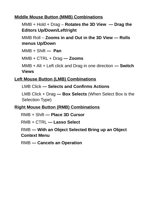#### **Middle Mouse Button (MMB) Combinations**

MMB + Hold + Drag – **Rotates the 3D View — Drag the Editors Up/Down/Left/right**

MMB Roll – **Zooms in and Out in the 3D View — Rolls menus Up/Down**

MMB + Shift **— Pan**

MMB + CTRL + Drag **— Zooms**

MMB + Alt + Left click and Drag in one direction **— Switch Views**

#### **Left Mouse Button (LMB) Combinations**

LMB Click **— Selects and Confirms Actions**

LMB Click + Drag **— Box Selects** (When Select Box is the Selection Type)

#### **Right Mouse Button (RMB) Combinations**

RMB + Shift **— Place 3D Cursor**

RMB + CTRL **— Lasso Select**

RMB **— With an Object Selected Bring up an Object Context Menu**

RMB **— Cancels an Operation**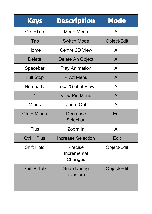| <b>Keys</b>       | <b>Description</b>                | <b>Mode</b> |
|-------------------|-----------------------------------|-------------|
| Ctrl +Tab         | Mode Menu                         | All         |
| Tab               | <b>Switch Mode</b>                | Object/Edit |
| Home              | Centre 3D View                    | All         |
| <b>Delete</b>     | Delete An Object                  | All         |
| Spacebar          | <b>Play Animation</b>             | All         |
| <b>Full Stop</b>  | <b>Pivot Menu</b>                 | All         |
| Numpad /          | Local/Global View                 | All         |
| $\blacksquare$    | <b>View Pie Menu</b>              | All         |
| <b>Minus</b>      | Zoom Out                          | All         |
| Ctrl + Minus      | Decrease<br><b>Selection</b>      | <b>Edit</b> |
| Plus              | Zoom In                           | All         |
| $Ctrl + Plus$     | <b>Increase Selection</b>         | Edit        |
| <b>Shift Hold</b> | Precise<br>Incremental<br>Changes | Object/Edit |
| Shift + Tab       | <b>Snap During</b><br>Transform   | Object/Edit |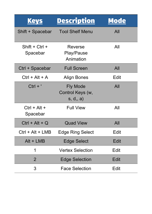| <b>Keys</b>                  | <b>Description</b>                              | <b>Mode</b> |
|------------------------------|-------------------------------------------------|-------------|
| Shift + Spacebar             | <b>Tool Shelf Menu</b>                          | All         |
| Shift + $Ctrl +$<br>Spacebar | Reverse<br><b>Play/Pause</b><br>Animation       | All         |
| Ctrl + Spacebar              | <b>Full Screen</b>                              | All         |
| $Ctrl + Alt + A$             | <b>Align Bones</b>                              | Edit        |
| $Ctrl + '$                   | <b>Fly Mode</b><br>Control Keys (w,<br>s, d, a) | All         |
| $Ctrl + Alt +$<br>Spacebar   | <b>Full View</b>                                | All         |
| $Ctrl + Alt + Q$             | <b>Quad View</b>                                | All         |
| $Ctrl + Alt + LMB$           | <b>Edge Ring Select</b>                         | <b>Edit</b> |
| $Alt + LMB$                  | <b>Edge Select</b>                              | Edit        |
| 1                            | <b>Vertex Selection</b>                         | Edit        |
| $\overline{2}$               | <b>Edge Selection</b>                           | Edit        |
| 3                            | <b>Face Selection</b>                           | Edit        |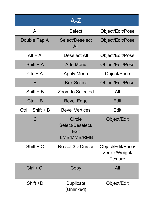|                    | $\overline{A}$ -Z                                 |                                                       |
|--------------------|---------------------------------------------------|-------------------------------------------------------|
| A                  | <b>Select</b>                                     | Object/Edit/Pose                                      |
| Double Tap A       | Select/Deselect<br>All                            | Object/Edit/Pose                                      |
| $Alt + A$          | Deselect All                                      | Object/Edit/Pose                                      |
| Shift $+$ A        | <b>Add Menu</b>                                   | Object/Edit/Pose                                      |
| $Ctrl + A$         | <b>Apply Menu</b>                                 | Object/Pose                                           |
| B                  | <b>Box Select</b>                                 | Object/Edit/Pose                                      |
| $Shift + B$        | Zoom to Selected                                  | All                                                   |
| $Ctrl + B$         | <b>Bevel Edge</b>                                 | Edit                                                  |
| $Ctrl + Shift + B$ | <b>Bevel Vertices</b>                             | Edit                                                  |
| C,                 | Circle<br>Select/Deselect/<br>Exit<br>LMB/MMB/RMB | Object/Edit                                           |
| $Shift + C$        | Re-set 3D Cursor                                  | Object/Edit/Pose/<br>Vertex/Weight/<br><b>Texture</b> |
| $Ctrl + C$         | Copy                                              | All                                                   |
| Shift +D           | Duplicate<br>(Unlinked)                           | Object/Edit                                           |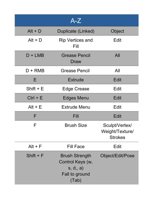|             | $A-Z$                                                                            |                                                     |
|-------------|----------------------------------------------------------------------------------|-----------------------------------------------------|
| $Alt + D$   | Duplicate (Linked)                                                               | Object                                              |
| $Alt + D$   | <b>Rip Vertices and</b><br>Fill                                                  | Edit                                                |
| $D + LMB$   | <b>Grease Pencil</b><br>Draw                                                     | All                                                 |
| $D + RMB$   | <b>Grease Pencil</b>                                                             | All                                                 |
| Е           | <b>Extrude</b>                                                                   | Edit                                                |
| $Shift + E$ | Edge Crease                                                                      | Edit                                                |
| $Ctrl + E$  | Edges Menu                                                                       | <b>Edit</b>                                         |
| $Alt + E$   | <b>Extrude Menu</b>                                                              | Edit                                                |
| F           | Fill                                                                             | <b>Edit</b>                                         |
| F           | <b>Brush Size</b>                                                                | Sculpt/Vertex/<br>Weight/Texture/<br><b>Strokes</b> |
| $Alt + F$   | <b>Fill Face</b>                                                                 | Edit                                                |
| Shift $+$ F | <b>Brush Strength</b><br>Control Keys (w,<br>s, d, a)<br>Fall to ground<br>(Tab) | Object/Edit/Pose                                    |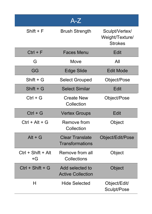|                            | $A-Z$                                       |                                                     |
|----------------------------|---------------------------------------------|-----------------------------------------------------|
| Shift $+$ F                | <b>Brush Strength</b>                       | Sculpt/Vertex/<br>Weight/Texture/<br><b>Strokes</b> |
| $Ctrl + F$                 | <b>Faces Menu</b>                           | Edit                                                |
| G                          | Move                                        | All                                                 |
| GG                         | Edge Slide                                  | <b>Edit Mode</b>                                    |
| $Shift + G$                | <b>Select Grouped</b>                       | Object/Pose                                         |
| $Shift + G$                | <b>Select Similar</b>                       | Edit                                                |
| $Ctrl + G$                 | <b>Create New</b><br>Collection             | Object/Pose                                         |
| $Ctrl + G$                 | <b>Vertex Groups</b>                        | <b>Edit</b>                                         |
| $Ctrl + Alt + G$           | <b>Remove from</b><br>Collection            | Object                                              |
| $Alt + G$                  | <b>Clear Translate</b><br>Transformations   | Object/Edit/Pose                                    |
| $Ctrl + Shift + Alt$<br>+G | Remove from all<br>Collections              | Object                                              |
| $Ctrl + Shift + G$         | Add selected to<br><b>Active Collection</b> | Object                                              |
| H                          | <b>Hide Selected</b>                        | Object/Edit/<br>Sculpt/Pose                         |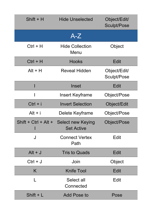| $Shift + H$            | <b>Hide Unselected</b>                        | Object/Edit/<br><b>Sculpt/Pose</b> |
|------------------------|-----------------------------------------------|------------------------------------|
|                        | $A-Z$                                         |                                    |
| $Ctrl + H$             | <b>Hide Collection</b><br>Menu                | Object                             |
| $Ctrl + H$             | <b>Hooks</b>                                  | <b>Edit</b>                        |
| $Alt + H$              | <b>Reveal Hidden</b>                          | Object/Edit/<br>Sculpt/Pose        |
|                        | Inset                                         | Edit                               |
|                        | Insert Keyframe                               | Object/Pose                        |
| $Ctrl + i$             | <b>Invert Selection</b>                       | Object/Edit                        |
| $Alt + i$              | Delete Keyframe                               | Object/Pose                        |
| Shift + $Ctrl + Alt +$ | <b>Select new Keying</b><br><b>Set Active</b> | Object/Pose                        |
| J                      | <b>Connect Vertex</b><br>Path                 | Edit                               |
| $Alt + J$              | <b>Tris to Quads</b>                          | <b>Edit</b>                        |
| $Ctrl + J$             | Join                                          | Object                             |
| K.                     | <b>Knife Tool</b>                             | Edit                               |
|                        | Select all<br>Connected                       | Edit                               |
| $Shift + L$            | Add Pose to                                   | Pose                               |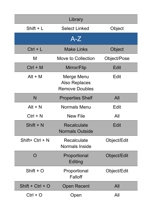|                    | Library                                              |             |
|--------------------|------------------------------------------------------|-------------|
| $Shift + L$        | <b>Select Linked</b>                                 | Object      |
|                    | $A-Z$                                                |             |
| $Ctrl + L$         | <b>Make Links</b>                                    | Object      |
| M                  | <b>Move to Collection</b>                            | Object/Pose |
| $Ctrl + M$         | Mirror/Flip                                          | Edit        |
| $Alt + M$          | Merge Menu<br>Also Replaces<br><b>Remove Doubles</b> | Edit        |
| N                  | <b>Properties Shelf</b>                              | All         |
| $Alt + N$          | <b>Normals Menu</b>                                  | Edit        |
| $Ctrl + N$         | <b>New File</b>                                      | All         |
| $Shift + N$        | <b>Recalculate</b><br><b>Normals Outside</b>         | Edit        |
| $Shift+Ctrl + N$   | <b>Recalculate</b><br>Normals Inside                 | Object/Edit |
| $\bigcap$          | Proportional<br>Editing                              | Object/Edit |
| $Shift + O$        | Proportional<br>Falloff                              | Object/Edit |
| $Shift + Crit + O$ | <b>Open Recent</b>                                   | All         |
| $Ctrl + O$         | Open                                                 | All         |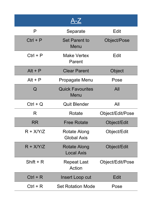|             | $A-Z$                              |                  |
|-------------|------------------------------------|------------------|
| P           | Separate                           | Edit             |
| $Ctrl + P$  | <b>Set Parent to</b><br>Menu       | Object/Pose      |
| $Ctrl + P$  | <b>Make Vertex</b><br>Parent       | Edit             |
| $Alt + P$   | <b>Clear Parent</b>                | Object           |
| $Alt + P$   | Propagate Menu                     | Pose             |
| Q           | <b>Quick Favourites</b><br>Menu    | All              |
| $Ctrl + Q$  | <b>Quit Blender</b>                | All              |
| R           | Rotate                             | Object/Edit/Pose |
| <b>RR</b>   | <b>Free Rotate</b>                 | Object/Edit      |
| $R + X/Y/Z$ | Rotate Along<br><b>Global Axis</b> | Object/Edit      |
| $R + X/Y/Z$ | Rotate Along<br><b>Local Axis</b>  | Object/Edit      |
| Shift $+ R$ | Repeat Last<br>Action              | Object/Edit/Pose |
| $Ctrl + R$  | Insert Loop cut                    | Edit             |
| $Ctrl + R$  | <b>Set Rotation Mode</b>           | Pose             |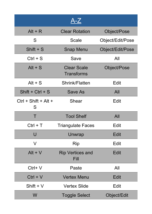|                             | A-Z                                     |                  |
|-----------------------------|-----------------------------------------|------------------|
| $Alt + R$                   | <b>Clear Rotation</b>                   | Object/Pose      |
| S                           | Scale                                   | Object/Edit/Pose |
| $Shift + S$                 | <b>Snap Menu</b>                        | Object/Edit/Pose |
| $Ctrl + S$                  | Save                                    | All              |
| $Alt + S$                   | <b>Clear Scale</b><br><b>Transforms</b> | Object/Pose      |
| $Alt + S$                   | Shrink/Flatten                          | Edit             |
| $Shift + Crit + S$          | Save As                                 | All              |
| $Ctrl + Shift + Alt +$<br>S | Shear                                   | Edit             |
| Τ                           | <b>Tool Shelf</b>                       | All              |
| $Ctrl + T$                  | <b>Triangulate Faces</b>                | Edit             |
| U                           | Unwrap                                  | <b>Edit</b>      |
| V                           | Rip                                     | <b>Edit</b>      |
| $Alt + V$                   | <b>Rip Vertices and</b><br>Fill         | <b>Edit</b>      |
| $Ctrl+V$                    | Paste                                   | All              |
| $Ctrl + V$                  | <b>Vertex Menu</b>                      | <b>Edit</b>      |
| Shift $+V$                  | <b>Vertex Slide</b>                     | Edit             |
| W                           | <b>Toggle Select</b>                    | Object/Edit      |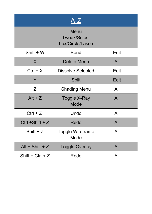|                    | $A-Z$                                           |             |
|--------------------|-------------------------------------------------|-------------|
|                    | Menu<br><b>Tweak/Select</b><br>box/Circle/Lasso |             |
| Shift + W          | <b>Bend</b>                                     | Edit        |
| X                  | Delete Menu                                     | All         |
| $Ctrl + X$         | <b>Dissolve Selected</b>                        | Edit        |
| Y                  | Split                                           | <b>Edit</b> |
| Z                  | <b>Shading Menu</b>                             | All         |
| $Alt + Z$          | Toggle X-Ray<br>Mode                            | All         |
| $Ctrl + Z$         | Undo                                            | All         |
| $Ctrl + Shift + Z$ | Redo                                            | All         |
| Shift $+Z$         | <b>Toggle Wireframe</b><br>Mode                 | All         |
| Alt + Shift + $Z$  | <b>Toggle Overlay</b>                           | All         |
| $Shift + Crit + Z$ | Redo                                            | All         |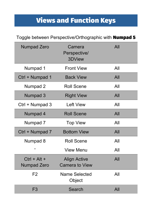# Views and Function Keys

## Toggle between Perspective/Orthographic with Numpad 5

| <b>Numpad Zero</b>            | Camera<br>Perspective/<br>3DView             | All |
|-------------------------------|----------------------------------------------|-----|
| Numpad 1                      | <b>Front View</b>                            | All |
| Ctrl + Numpad 1               | <b>Back View</b>                             | All |
| Numpad 2                      | <b>Roll Scene</b>                            | All |
| Numpad 3                      | <b>Right View</b>                            | All |
| Ctrl + Numpad 3               | Left View                                    | All |
| Numpad 4                      | <b>Roll Scene</b>                            | All |
| Numpad 7                      | <b>Top View</b>                              | All |
| Ctrl + Numpad 7               | <b>Bottom View</b>                           | All |
| Numpad 8                      | <b>Roll Scene</b>                            | All |
| ٠                             | <b>View Menu</b>                             | All |
| $Ctrl + Alt +$<br>Numpad Zero | <b>Align Active</b><br><b>Camera to View</b> | All |
| F <sub>2</sub>                | <b>Name Selected</b><br>Object               | All |
| F <sub>3</sub>                | Search                                       | All |